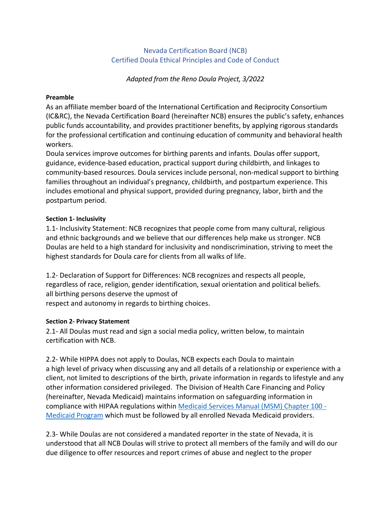# Nevada Certification Board (NCB) Certified Doula Ethical Principles and Code of Conduct

*Adapted from the Reno Doula Project, 3/2022*

#### **Preamble**

As an affiliate member board of the International Certification and Reciprocity Consortium (IC&RC), the Nevada Certification Board (hereinafter NCB) ensures the public's safety, enhances public funds accountability, and provides practitioner benefits, by applying rigorous standards for the professional certification and continuing education of community and behavioral health workers.

Doula services improve outcomes for birthing parents and infants. Doulas offer support, guidance, evidence-based education, practical support during childbirth, and linkages to community-based resources. Doula services include personal, non-medical support to birthing families throughout an individual's pregnancy, childbirth, and postpartum experience. This includes emotional and physical support, provided during pregnancy, labor, birth and the postpartum period.

#### **Section 1- Inclusivity**

1.1- Inclusivity Statement: NCB recognizes that people come from many cultural, religious and ethnic backgrounds and we believe that our differences help make us stronger. NCB Doulas are held to a high standard for inclusivity and nondiscrimination, striving to meet the highest standards for Doula care for clients from all walks of life.

1.2- Declaration of Support for Differences: NCB recognizes and respects all people, regardless of race, religion, gender identification, sexual orientation and political beliefs. all birthing persons deserve the upmost of

respect and autonomy in regards to birthing choices.

# **Section 2- Privacy Statement**

2.1- All Doulas must read and sign a social media policy, written below, to maintain certification with NCB.

2.2- While HIPPA does not apply to Doulas, NCB expects each Doula to maintain a high level of privacy when discussing any and all details of a relationship or experience with a client, not limited to descriptions of the birth, private information in regards to lifestyle and any other information considered privileged. The Division of Health Care Financing and Policy (hereinafter, Nevada Medicaid) maintains information on safeguarding information in compliance with HIPAA regulations within [Medicaid Services Manual \(MSM\) Chapter 100 -](https://dhcfp.nv.gov/Resources/AdminSupport/Manuals/MSM/C100/Chapter100/)  [Medicaid Program](https://dhcfp.nv.gov/Resources/AdminSupport/Manuals/MSM/C100/Chapter100/) which must be followed by all enrolled Nevada Medicaid providers.

2.3- While Doulas are not considered a mandated reporter in the state of Nevada, it is understood that all NCB Doulas will strive to protect all members of the family and will do our due diligence to offer resources and report crimes of abuse and neglect to the proper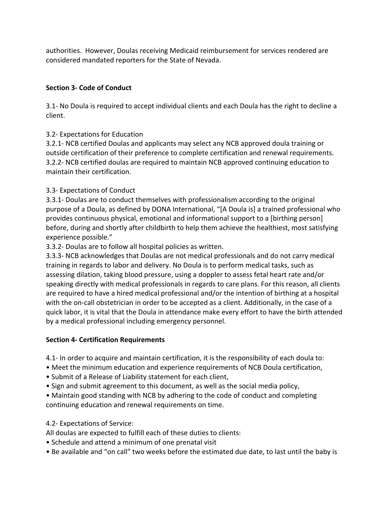authorities. However, Doulas receiving Medicaid reimbursement for services rendered are considered mandated reporters for the State of Nevada.

# **Section 3- Code of Conduct**

3.1- No Doula is required to accept individual clients and each Doula has the right to decline a client.

# 3.2- Expectations for Education

3.2.1- NCB certified Doulas and applicants may select any NCB approved doula training or outside certification of their preference to complete certification and renewal requirements. 3.2.2- NCB certified doulas are required to maintain NCB approved continuing education to maintain their certification.

# 3.3- Expectations of Conduct

3.3.1- Doulas are to conduct themselves with professionalism according to the original purpose of a Doula, as defined by DONA International, "[A Doula is] a trained professional who provides continuous physical, emotional and informational support to a [birthing person] before, during and shortly after childbirth to help them achieve the healthiest, most satisfying experience possible."

3.3.2- Doulas are to follow all hospital policies as written.

3.3.3- NCB acknowledges that Doulas are not medical professionals and do not carry medical training in regards to labor and delivery. No Doula is to perform medical tasks, such as assessing dilation, taking blood pressure, using a doppler to assess fetal heart rate and/or speaking directly with medical professionals in regards to care plans. For this reason, all clients are required to have a hired medical professional and/or the intention of birthing at a hospital with the on-call obstetrician in order to be accepted as a client. Additionally, in the case of a quick labor, it is vital that the Doula in attendance make every effort to have the birth attended by a medical professional including emergency personnel.

# **Section 4- Certification Requirements**

4.1- In order to acquire and maintain certification, it is the responsibility of each doula to:

- Meet the minimum education and experience requirements of NCB Doula certification,
- Submit of a Release of Liability statement for each client,
- Sign and submit agreement to this document, as well as the social media policy,

• Maintain good standing with NCB by adhering to the code of conduct and completing continuing education and renewal requirements on time.

# 4.2- Expectations of Service:

All doulas are expected to fulfill each of these duties to clients:

- Schedule and attend a minimum of one prenatal visit
- Be available and "on call" two weeks before the estimated due date, to last until the baby is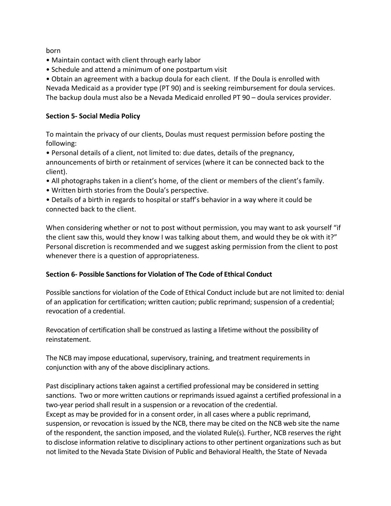born

- Maintain contact with client through early labor
- Schedule and attend a minimum of one postpartum visit

• Obtain an agreement with a backup doula for each client. If the Doula is enrolled with Nevada Medicaid as a provider type (PT 90) and is seeking reimbursement for doula services. The backup doula must also be a Nevada Medicaid enrolled PT 90 – doula services provider.

### **Section 5- Social Media Policy**

To maintain the privacy of our clients, Doulas must request permission before posting the following:

• Personal details of a client, not limited to: due dates, details of the pregnancy, announcements of birth or retainment of services (where it can be connected back to the client).

- All photographs taken in a client's home, of the client or members of the client's family.
- Written birth stories from the Doula's perspective.

• Details of a birth in regards to hospital or staff's behavior in a way where it could be connected back to the client.

When considering whether or not to post without permission, you may want to ask yourself "if the client saw this, would they know I was talking about them, and would they be ok with it?" Personal discretion is recommended and we suggest asking permission from the client to post whenever there is a question of appropriateness.

# **Section 6- Possible Sanctions for Violation of The Code of Ethical Conduct**

Possible sanctions for violation of the Code of Ethical Conduct include but are not limited to: denial of an application for certification; written caution; public reprimand; suspension of a credential; revocation of a credential.

Revocation of certification shall be construed as lasting a lifetime without the possibility of reinstatement.

The NCB may impose educational, supervisory, training, and treatment requirements in conjunction with any of the above disciplinary actions.

Past disciplinary actions taken against a certified professional may be considered in setting sanctions. Two or more written cautions or reprimands issued against a certified professional in a two-year period shall result in a suspension or a revocation of the credential. Except as may be provided for in a consent order, in all cases where a public reprimand, suspension, or revocation is issued by the NCB, there may be cited on the NCB web site the name of the respondent, the sanction imposed, and the violated Rule(s). Further, NCB reserves the right to disclose information relative to disciplinary actions to other pertinent organizations such as but not limited to the Nevada State Division of Public and Behavioral Health, the State of Nevada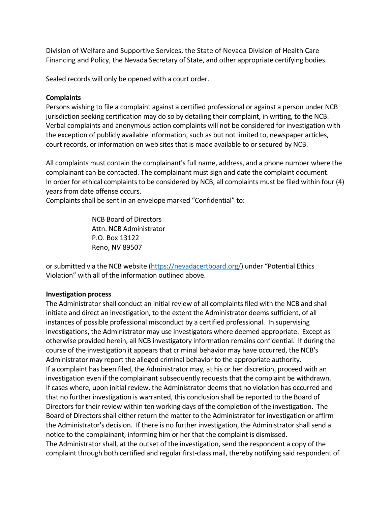Division of Welfare and Supportive Services, the State of Nevada Division of Health Care Financing and Policy, the Nevada Secretary of State, and other appropriate certifying bodies.

Sealed records will only be opened with a court order.

#### **Complaints**

Persons wishing to file a complaint against a certified professional or against a person under NCB jurisdiction seeking certification may do so by detailing their complaint, in writing, to the NCB. Verbal complaints and anonymous action complaints will not be considered for investigation with the exception of publicly available information, such as but not limited to, newspaper articles, court records, or information on web sites that is made available to or secured by NCB.

All complaints must contain the complainant's full name, address, and a phone number where the complainant can be contacted. The complainant must sign and date the complaint document. In order for ethical complaints to be considered by NCB, all complaints must be filed within four (4) years from date offense occurs.

Complaints shall be sent in an envelope marked "Confidential" to:

 NCB Board of Directors Attn. NCB Administrator P.O. Box 13122 Reno, NV 89507

or submitted via the NCB website [\(https://nevadacertboard.org/\)](https://nevadacertboard.org/) under "Potential Ethics Violation" with all of the information outlined above.

# **Investigation process**

The Administrator shall conduct an initial review of all complaints filed with the NCB and shall initiate and direct an investigation, to the extent the Administrator deems sufficient, of all instances of possible professional misconduct by a certified professional. In supervising investigations, the Administrator may use investigators where deemed appropriate. Except as otherwise provided herein, all NCB investigatory information remains confidential. If during the course of the investigation it appears that criminal behavior may have occurred, the NCB's Administrator may report the alleged criminal behavior to the appropriate authority. If a complaint has been filed, the Administrator may, at his or her discretion, proceed with an investigation even if the complainant subsequently requests that the complaint be withdrawn. If cases where, upon initial review, the Administrator deems that no violation has occurred and that no further investigation is warranted, this conclusion shall be reported to the Board of Directors for their review within ten working days of the completion of the investigation. The Board of Directors shall either return the matter to the Administrator for investigation or affirm the Administrator's decision. If there is no further investigation, the Administrator shall send a notice to the complainant, informing him or her that the complaint is dismissed. The Administrator shall, at the outset of the investigation, send the respondent a copy of the complaint through both certified and regular first-class mail, thereby notifying said respondent of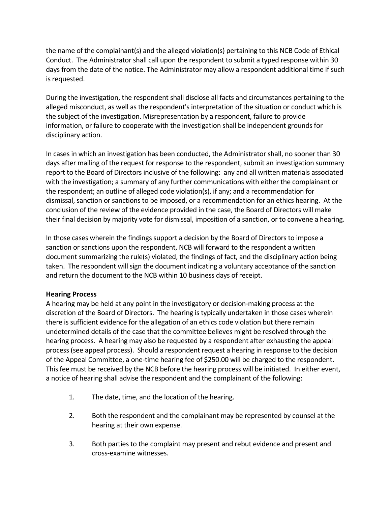the name of the complainant(s) and the alleged violation(s) pertaining to this NCB Code of Ethical Conduct. The Administrator shall call upon the respondent to submit a typed response within 30 days from the date of the notice. The Administrator may allow a respondent additional time if such is requested.

During the investigation, the respondent shall disclose all facts and circumstances pertaining to the alleged misconduct, as well as the respondent's interpretation of the situation or conduct which is the subject of the investigation. Misrepresentation by a respondent, failure to provide information, or failure to cooperate with the investigation shall be independent grounds for disciplinary action.

In cases in which an investigation has been conducted, the Administrator shall, no sooner than 30 days after mailing of the request for response to the respondent, submit an investigation summary report to the Board of Directors inclusive of the following: any and all written materials associated with the investigation; a summary of any further communications with either the complainant or the respondent; an outline of alleged code violation(s), if any; and a recommendation for dismissal, sanction or sanctions to be imposed, or a recommendation for an ethics hearing. At the conclusion of the review of the evidence provided in the case, the Board of Directors will make their final decision by majority vote for dismissal, imposition of a sanction, or to convene a hearing.

In those cases wherein the findings support a decision by the Board of Directors to impose a sanction or sanctions upon the respondent, NCB will forward to the respondent a written document summarizing the rule(s) violated, the findings of fact, and the disciplinary action being taken. The respondent will sign the document indicating a voluntary acceptance of the sanction and return the document to the NCB within 10 business days of receipt.

# **Hearing Process**

A hearing may be held at any point in the investigatory or decision-making process at the discretion of the Board of Directors. The hearing is typically undertaken in those cases wherein there is sufficient evidence for the allegation of an ethics code violation but there remain undetermined details of the case that the committee believes might be resolved through the hearing process. A hearing may also be requested by a respondent after exhausting the appeal process (see appeal process). Should a respondent request a hearing in response to the decision of the Appeal Committee, a one-time hearing fee of \$250.00 will be charged to the respondent. This fee must be received by the NCB before the hearing process will be initiated. In either event, a notice of hearing shall advise the respondent and the complainant of the following:

- 1. The date, time, and the location of the hearing.
- 2. Both the respondent and the complainant may be represented by counsel at the hearing at their own expense.
- 3. Both parties to the complaint may present and rebut evidence and present and cross-examine witnesses.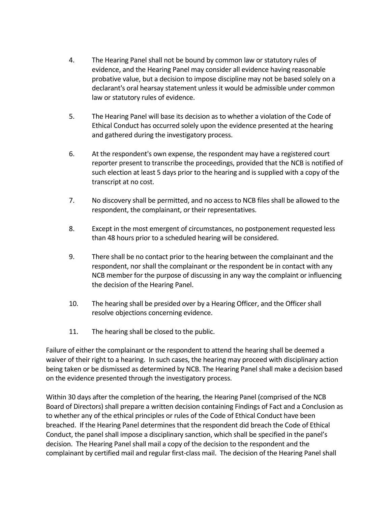- 4. The Hearing Panel shall not be bound by common law or statutory rules of evidence, and the Hearing Panel may consider all evidence having reasonable probative value, but a decision to impose discipline may not be based solely on a declarant's oral hearsay statement unless it would be admissible under common law or statutory rules of evidence.
- 5. The Hearing Panel will base its decision as to whether a violation of the Code of Ethical Conduct has occurred solely upon the evidence presented at the hearing and gathered during the investigatory process.
- 6. At the respondent's own expense, the respondent may have a registered court reporter present to transcribe the proceedings, provided that the NCB is notified of such election at least 5 days prior to the hearing and is supplied with a copy of the transcript at no cost.
- 7. No discovery shall be permitted, and no access to NCB files shall be allowed to the respondent, the complainant, or their representatives.
- 8. Except in the most emergent of circumstances, no postponement requested less than 48 hours prior to a scheduled hearing will be considered.
- 9. There shall be no contact prior to the hearing between the complainant and the respondent, nor shall the complainant or the respondent be in contact with any NCB member for the purpose of discussing in any way the complaint or influencing the decision of the Hearing Panel.
- 10. The hearing shall be presided over by a Hearing Officer, and the Officer shall resolve objections concerning evidence.
- 11. The hearing shall be closed to the public.

Failure of either the complainant or the respondent to attend the hearing shall be deemed a waiver of their right to a hearing. In such cases, the hearing may proceed with disciplinary action being taken or be dismissed as determined by NCB. The Hearing Panel shall make a decision based on the evidence presented through the investigatory process.

Within 30 days after the completion of the hearing, the Hearing Panel (comprised of the NCB Board of Directors) shall prepare a written decision containing Findings of Fact and a Conclusion as to whether any of the ethical principles or rules of the Code of Ethical Conduct have been breached. If the Hearing Panel determines that the respondent did breach the Code of Ethical Conduct, the panel shall impose a disciplinary sanction, which shall be specified in the panel's decision. The Hearing Panel shall mail a copy of the decision to the respondent and the complainant by certified mail and regular first-class mail. The decision of the Hearing Panel shall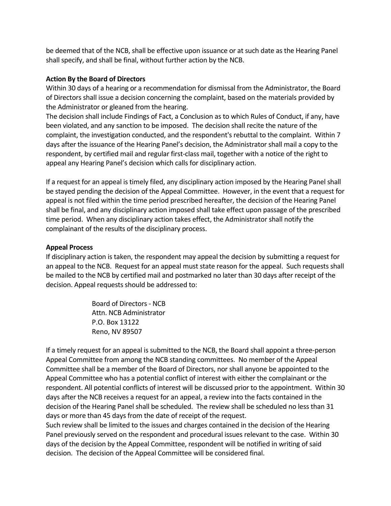be deemed that of the NCB, shall be effective upon issuance or at such date as the Hearing Panel shall specify, and shall be final, without further action by the NCB.

### **Action By the Board of Directors**

Within 30 days of a hearing or a recommendation for dismissal from the Administrator, the Board of Directors shall issue a decision concerning the complaint, based on the materials provided by the Administrator or gleaned from the hearing.

The decision shall include Findings of Fact, a Conclusion as to which Rules of Conduct, if any, have been violated, and any sanction to be imposed. The decision shall recite the nature of the complaint, the investigation conducted, and the respondent's rebuttal to the complaint. Within 7 days after the issuance of the Hearing Panel's decision, the Administrator shall mail a copy to the respondent, by certified mail and regular first-class mail, together with a notice of the right to appeal any Hearing Panel's decision which calls for disciplinary action.

If a request for an appeal is timely filed, any disciplinary action imposed by the Hearing Panel shall be stayed pending the decision of the Appeal Committee. However, in the event that a request for appeal is not filed within the time period prescribed hereafter, the decision of the Hearing Panel shall be final, and any disciplinary action imposed shall take effect upon passage of the prescribed time period. When any disciplinary action takes effect, the Administrator shall notify the complainant of the results of the disciplinary process.

### **Appeal Process**

If disciplinary action is taken, the respondent may appeal the decision by submitting a request for an appeal to the NCB. Request for an appeal must state reason for the appeal. Such requests shall be mailed to the NCB by certified mail and postmarked no later than 30 days after receipt of the decision. Appeal requests should be addressed to:

> Board of Directors - NCB Attn. NCB Administrator P.O. Box 13122 Reno, NV 89507

If a timely request for an appeal is submitted to the NCB, the Board shall appoint a three-person Appeal Committee from among the NCB standing committees. No member of the Appeal Committee shall be a member of the Board of Directors, nor shall anyone be appointed to the Appeal Committee who has a potential conflict of interest with either the complainant or the respondent. All potential conflicts of interest will be discussed prior to the appointment. Within 30 days after the NCB receives a request for an appeal, a review into the facts contained in the decision of the Hearing Panel shall be scheduled. The review shall be scheduled no less than 31 days or more than 45 days from the date of receipt of the request.

Such review shall be limited to the issues and charges contained in the decision of the Hearing Panel previously served on the respondent and procedural issues relevant to the case. Within 30 days of the decision by the Appeal Committee, respondent will be notified in writing of said decision. The decision of the Appeal Committee will be considered final.